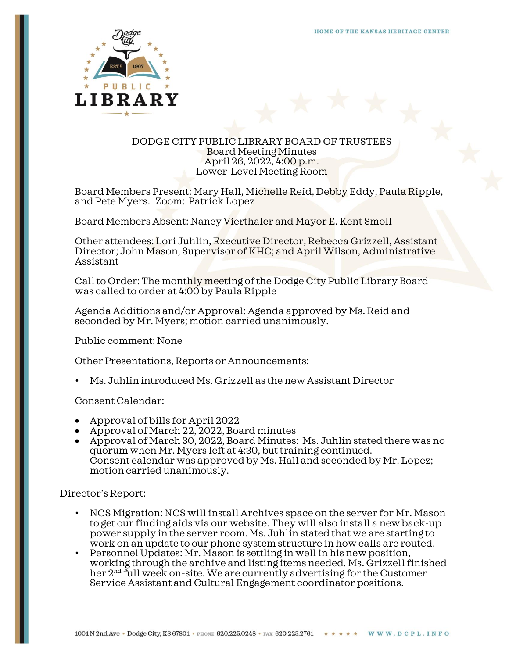

## DODGE CITY PUBLIC LIBRARY BOARD OF TRUSTEES Board Meeting Minutes April 26, 2022, 4:00 p.m. Lower-Level Meeting Room

Board Members Present: Mary Hall, Michelle Reid, Debby Eddy, Paula Ripple, and Pete Myers. Zoom: Patrick Lopez

Board Members Absent: Nancy Vierthaler and Mayor E. Kent Smoll

Other attendees: Lori Juhlin, Executive Director; Rebecca Grizzell, Assistant Director; John Mason, Supervisor of KHC; and April Wilson, Administrative Assistant

Call to Order: The monthly meeting of the Dodge City Public Library Board was called to order at 4:00 by Paula Ripple

Agenda Additions and/or Approval: Agenda approved by Ms. Reid and seconded by Mr. Myers; motion carried unanimously.

Public comment: None

Other Presentations, Reports or Announcements:

• Ms. Juhlin introduced Ms. Grizzell as the new Assistant Director

Consent Calendar:

- Approval of bills for April 2022
- Approval of March 22, 2022, Board minutes
- Approval of March 30, 2022, Board Minutes: Ms. Juhlin stated there was no quorum when Mr. Myers left at 4:30, but training continued. Consent calendar was approved by Ms. Hall and seconded by Mr. Lopez; motion carried unanimously.

Director's Report:

- NCS Migration: NCS will install Archives space on the server for Mr. Mason to get our finding aids via our website. They will also install a new back-up power supply in the server room. Ms. Juhlin stated that we are starting to work on an update to our phone system structure in how calls are routed.
- Personnel Updates: Mr. Mason is settling in well in his new position, working through the archive and listing items needed. Ms. Grizzell finished her 2nd full week on-site. We are currently advertising for the Customer Service Assistant and Cultural Engagement coordinator positions.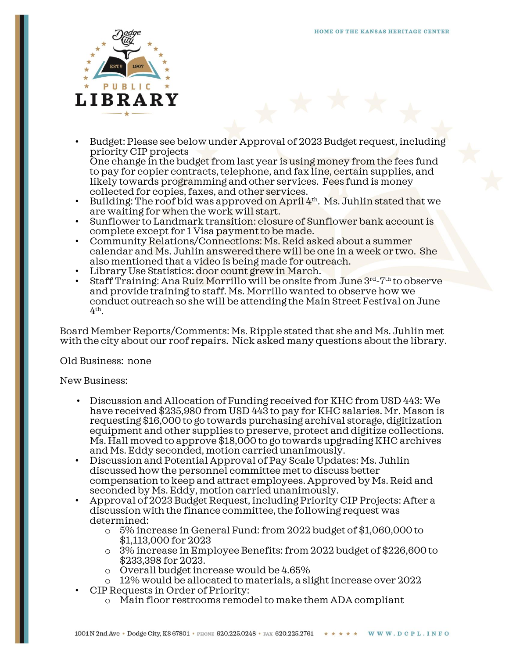

• Budget: Please see below under Approval of 2023 Budget request, including priority CIP projects

One change in the budget from last year is using money from the fees fund to pay for copier contracts, telephone, and fax line, certain supplies, and likely towards programming and other services. Fees fund is money collected for copies, faxes, and other services.

- Building: The roof bid was approved on April 4<sup>th</sup>. Ms. Juhlin stated that we are waiting for when the work will start.
- Sunflower to Landmark transition: closure of Sunflower bank account is complete except for 1 Visa payment to be made.
- Community Relations/Connections: Ms. Reid asked about a summer calendar and Ms. Juhlin answered there will be one in a week or two. She also mentioned that a video is being made for outreach.
- Library Use Statistics: door count grew in March.
- Staff Training: Ana Ruiz Morrillo will be onsite from June 3rd-7th to observe and provide training to staff. Ms. Morrillo wanted to observe how we conduct outreach so she will be attending the Main Street Festival on June  $4<sup>th</sup>$ .

Board Member Reports/Comments: Ms. Ripple stated that she and Ms. Juhlin met with the city about our roof repairs. Nick asked many questions about the library.

## Old Business: none

## New Business:

- Discussion and Allocation of Funding received for KHC from USD 443: We have received \$235,980 from USD 443 to pay for KHC salaries. Mr. Mason is requesting \$16,000 to go towards purchasing archival storage, digitization equipment and other supplies to preserve, protect and digitize collections. Ms. Hall moved to approve \$18,000 to go towards upgrading KHC archives and Ms. Eddy seconded, motion carried unanimously.
- Discussion and Potential Approval of Pay Scale Updates: Ms. Juhlin discussed how the personnel committee met to discuss better compensation to keep and attract employees. Approved by Ms. Reid and seconded by Ms. Eddy, motion carried unanimously.
- Approval of 2023 Budget Request, including Priority CIP Projects: After a discussion with the finance committee, the following request was determined:
	- o 5% increase in General Fund: from 2022 budget of \$1,060,000 to \$1,113,000 for 2023
	- o 3% increase in Employee Benefits: from 2022 budget of \$226,600 to \$233,398 for 2023.
	- o Overall budget increase would be 4.65%
	- $\circ$  12% would be allocated to materials, a slight increase over 2022
- CIP Requests in Order of Priority:
	- o Main floor restrooms remodel to make them ADA compliant